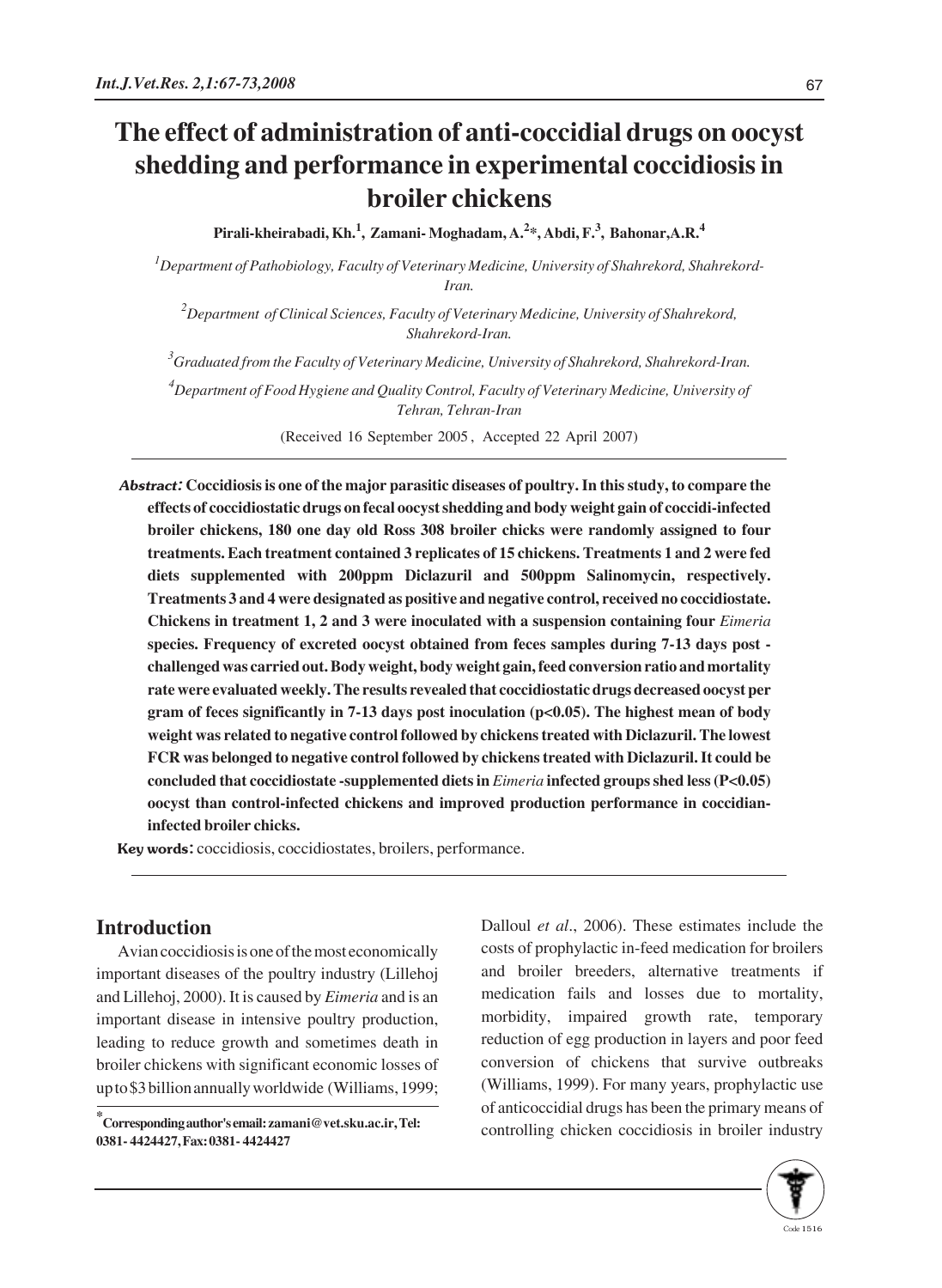# **The effect of administration of anti-coccidial drugs on oocyst shedding and performance in experimental coccidiosis in broiler chickens**

**Pirali-kheirabadi, Kh.1 , Zamani- Moghadam, A.<sup>2</sup> \*, Abdi, F.<sup>3</sup> , Bahonar,A.R.<sup>4</sup>**

*1 Department of Pathobiology, Faculty of Veterinary Medicine, University of Shahrekord, Shahrekord-Iran.*

*2 Department of Clinical Sciences, Faculty of Veterinary Medicine, University of Shahrekord, Shahrekord-Iran.*

*3 Graduated from the Faculty of Veterinary Medicine, University of Shahrekord, Shahrekord-Iran.*

*4 Department of Food Hygiene and Quality Control, Faculty of Veterinary Medicine, University of Tehran, Tehran-Iran*

(Received 16 September 2005 , Accepted 22 April 2007)

Abstract: **Coccidiosis is one of the major parasitic diseases of poultry. In this study, to compare the effects of coccidiostatic drugs on fecal oocyst shedding and body weight gain of coccidi-infected broiler chickens, 180 one day old Ross 308 broiler chicks were randomly assigned to four treatments. Each treatment contained 3 replicates of 15 chickens. Treatments 1 and 2 were fed diets supplemented with 200ppm Diclazuril and 500ppm Salinomycin, respectively. Treatments 3 and 4 were designated as positive and negative control, received no coccidiostate. Chickens in treatment 1, 2 and 3 were inoculated with a suspension containing four** *Eimeria* **species. Frequency of excreted oocyst obtained from feces samples during 7-13 days post challenged was carried out. Body weight, body weight gain, feed conversion ratio and mortality rate were evaluated weekly. The results revealed that coccidiostatic drugs decreased oocyst per gram of feces significantly in 7-13 days post inoculation (p<0.05). The highest mean of body weight was related to negative control followed by chickens treated with Diclazuril. The lowest FCR was belonged to negative control followed by chickens treated with Diclazuril. It could be concluded that coccidiostate -supplemented diets in** *Eimeria* **infected groups shed less (P<0.05) oocyst than control-infected chickens and improved production performance in coccidianinfected broiler chicks.** 

Key words: coccidiosis, coccidiostates, broilers, performance.

### **Introduction**

Avian coccidiosis is one of the most economically important diseases of the poultry industry (Lillehoj and Lillehoj, 2000). It is caused by *Eimeria* and is an important disease in intensive poultry production, leading to reduce growth and sometimes death in broiler chickens with significant economic losses of up to \$3 billion annually worldwide (Williams, 1999;

**\* Corresponding author's email: zamani@vet.sku.ac.ir, Tel: 0381- 4424427, Fax: 0381- 4424427**

Dalloul *et al*., 2006). These estimates include the costs of prophylactic in-feed medication for broilers and broiler breeders, alternative treatments if medication fails and losses due to mortality, morbidity, impaired growth rate, temporary reduction of egg production in layers and poor feed conversion of chickens that survive outbreaks (Williams, 1999). For many years, prophylactic use of anticoccidial drugs has been the primary means of controlling chicken coccidiosis in broiler industry

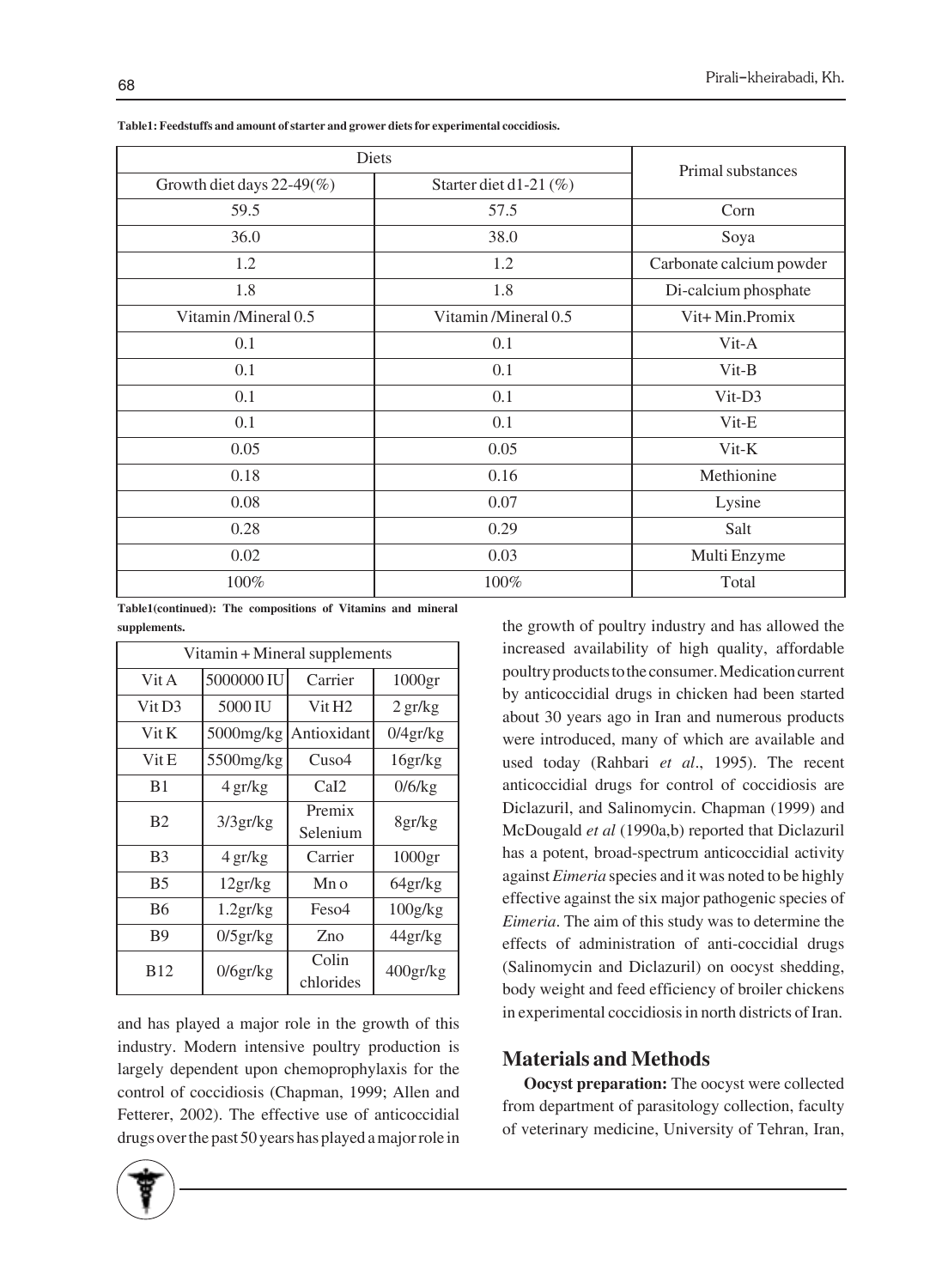| Diets                        | Primal substances      |                          |  |
|------------------------------|------------------------|--------------------------|--|
| Growth diet days $22-49\%$ ) | Starter diet d1-21 (%) |                          |  |
| 59.5                         | 57.5                   | Corn                     |  |
| 36.0                         | 38.0                   | Soya                     |  |
| 1.2                          | 1.2                    | Carbonate calcium powder |  |
| 1.8                          | 1.8                    | Di-calcium phosphate     |  |
| Vitamin/Mineral 0.5          | Vitamin/Mineral 0.5    | Vit+Min.Promix           |  |
| 0.1                          | 0.1                    | Vit-A                    |  |
| 0.1                          | 0.1                    | Vit-B                    |  |
| 0.1                          | 0.1                    | Vit-D3                   |  |
| 0.1                          | 0.1                    | Vit-E                    |  |
| 0.05                         | 0.05                   | Vit-K                    |  |
| 0.18                         | 0.16                   | Methionine               |  |
| 0.08                         | 0.07                   | Lysine                   |  |
| 0.28                         | 0.29                   | Salt                     |  |
| 0.02                         | 0.03                   | Multi Enzyme             |  |
| 100%                         | 100%                   | Total                    |  |

**Table1: Feedstuffs and amount of starter and grower diets for experimental coccidiosis.**

**Table1(continued): The compositions of Vitamins and mineral supplements.**

| Vitamin + Mineral supplements |                |                    |                    |  |  |  |
|-------------------------------|----------------|--------------------|--------------------|--|--|--|
| Vit A                         | 5000000 IU     | Carrier            | 1000 <sub>gr</sub> |  |  |  |
| Vit D3                        | 5000 IU        | Vit H <sub>2</sub> | $2 \frac{gr}{kg}$  |  |  |  |
| $V$ it $K$                    | 5000mg/kg      | Antioxidant        | 0/4gr/kg           |  |  |  |
| Vit E                         | 5500mg/kg      | Cuso4              | 16gr/kg            |  |  |  |
| B1                            | 4 gr/kg        | CaI2               | 0/6/kg             |  |  |  |
| B <sub>2</sub>                | 3/3gr/kg       | Premix             | 8gr/kg             |  |  |  |
|                               |                | Selenium           |                    |  |  |  |
| B <sub>3</sub>                | 4 gr/kg        | Carrier            | 1000 <sub>gr</sub> |  |  |  |
| <b>B5</b>                     | 12gr/kg        | Mn <sub>0</sub>    | 64gr/kg            |  |  |  |
| <b>B6</b>                     | 1.2gr/kg       | Feso4              | 100g/kg            |  |  |  |
| B9                            | $0/5$ gr/ $kg$ | Zno                | 44gr/kg            |  |  |  |
| <b>B12</b>                    | 0/6gr/kg       | Colin              | 400gr/kg           |  |  |  |
|                               |                | chlorides          |                    |  |  |  |

and has played a major role in the growth of this industry. Modern intensive poultry production is largely dependent upon chemoprophylaxis for the control of coccidiosis (Chapman, 1999; Allen and Fetterer, 2002). The effective use of anticoccidial drugs over the past 50 years has played a major role in the growth of poultry industry and has allowed the increased availability of high quality, affordable poultry products to the consumer. Medication current by anticoccidial drugs in chicken had been started about 30 years ago in Iran and numerous products were introduced, many of which are available and used today (Rahbari *et al*., 1995). The recent anticoccidial drugs for control of coccidiosis are Diclazuril, and Salinomycin. Chapman (1999) and McDougald *et al* (1990a,b) reported that Diclazuril has a potent, broad-spectrum anticoccidial activity against *Eimeria* species and it was noted to be highly effective against the six major pathogenic species of *Eimeria*. The aim of this study was to determine the effects of administration of anti-coccidial drugs (Salinomycin and Diclazuril) on oocyst shedding, body weight and feed efficiency of broiler chickens in experimental coccidiosis in north districts of Iran.

## **Materials and Methods**

**Oocyst preparation:** The oocyst were collected from department of parasitology collection, faculty of veterinary medicine, University of Tehran, Iran,

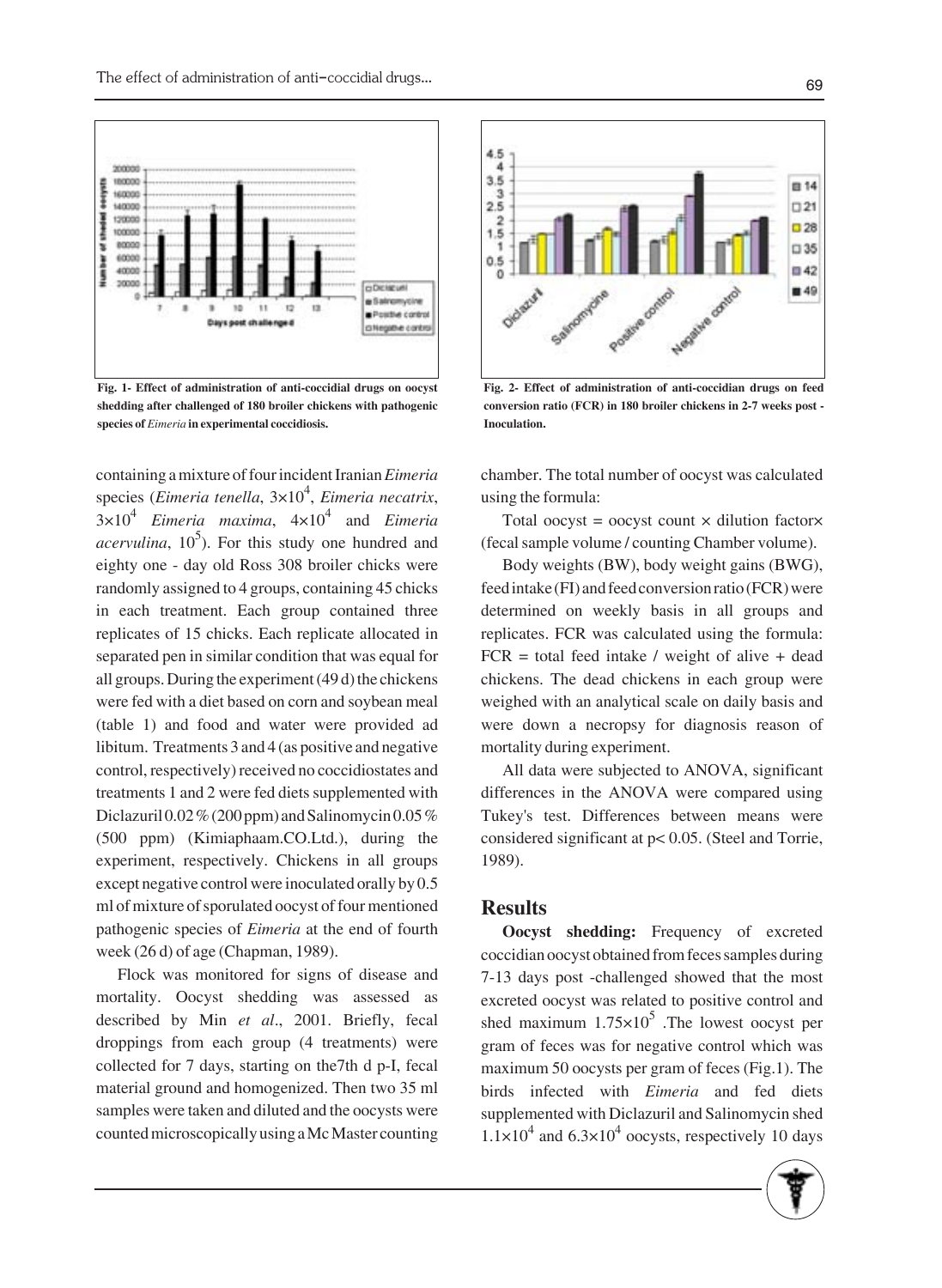

**Fig. 1- Effect of administration of anti-coccidial drugs on oocyst shedding after challenged of 180 broiler chickens with pathogenic species of** *Eimeria* **in experimental coccidiosis.**

containing a mixture of four incident Iranian *Eimeria* species (*Eimeria tenella*, 3×10<sup>4</sup> , *Eimeria necatrix*, 3×104 *Eimeria maxima*, 4×104 and *Eimeria*  $\alpha$ *cervulina*, 10<sup>5</sup>). For this study one hundred and eighty one - day old Ross 308 broiler chicks were randomly assigned to 4 groups, containing 45 chicks in each treatment. Each group contained three replicates of 15 chicks. Each replicate allocated in separated pen in similar condition that was equal for all groups. During the experiment (49 d) the chickens were fed with a diet based on corn and soybean meal (table 1) and food and water were provided ad libitum. Treatments 3 and 4 (as positive and negative control, respectively) received no coccidiostates and treatments 1 and 2 were fed diets supplemented with Diclazuril  $0.02\%$  (200 ppm) and Salinomycin  $0.05\%$ (500 ppm) (Kimiaphaam.CO.Ltd.), during the experiment, respectively. Chickens in all groups except negative control were inoculated orally by 0.5 ml of mixture of sporulated oocyst of four mentioned pathogenic species of *Eimeria* at the end of fourth week (26 d) of age (Chapman, 1989).

Flock was monitored for signs of disease and mortality. Oocyst shedding was assessed as described by Min *et al*., 2001. Briefly, fecal droppings from each group (4 treatments) were collected for 7 days, starting on the7th d p-I, fecal material ground and homogenized. Then two 35 ml samples were taken and diluted and the oocysts were counted microscopically using a Mc Master counting



**Fig. 2- Effect of administration of anti-coccidian drugs on feed conversion ratio (FCR) in 180 broiler chickens in 2-7 weeks post - Inoculation.**

chamber. The total number of oocyst was calculated using the formula:

Total oocyst = oocyst count  $\times$  dilution factor $\times$ (fecal sample volume / counting Chamber volume).

Body weights (BW), body weight gains (BWG), feed intake (FI) and feed conversion ratio (FCR) were determined on weekly basis in all groups and replicates. FCR was calculated using the formula:  $FCR = total feed intake / weight of alive + dead$ chickens. The dead chickens in each group were weighed with an analytical scale on daily basis and were down a necropsy for diagnosis reason of mortality during experiment.

All data were subjected to ANOVA, significant differences in the ANOVA were compared using Tukey's test. Differences between means were considered significant at p< 0.05. (Steel and Torrie, 1989).

#### **Results**

**Oocyst shedding:** Frequency of excreted coccidian oocyst obtained from feces samples during 7-13 days post -challenged showed that the most excreted oocyst was related to positive control and shed maximum  $1.75 \times 10^5$ . The lowest oocyst per gram of feces was for negative control which was maximum 50 oocysts per gram of feces (Fig.1). The birds infected with *Eimeria* and fed diets supplemented with Diclazuril and Salinomycin shed  $1.1\times10^4$  and  $6.3\times10^4$  oocysts, respectively 10 days

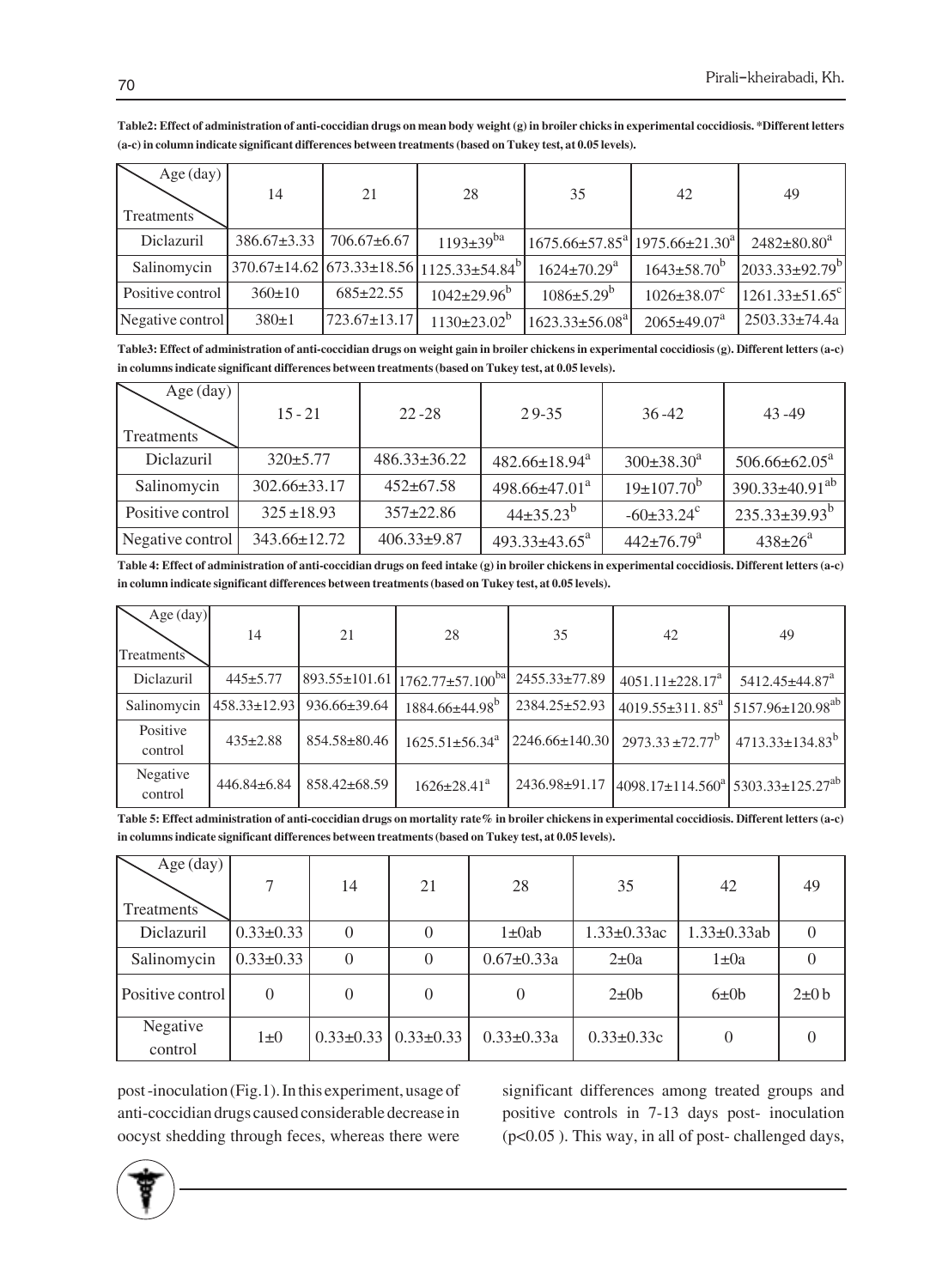| Age $(\text{day})$<br>Treatments <sup>7</sup> | 14                | 21               | 28                                                                   | 35                            | 42                                                           | 49                               |
|-----------------------------------------------|-------------------|------------------|----------------------------------------------------------------------|-------------------------------|--------------------------------------------------------------|----------------------------------|
| Diclazuril                                    | $386.67 \pm 3.33$ | $706.67\pm 6.67$ | $1193 \pm 39^{ba}$                                                   |                               | $1675.66 \pm 57.85^{\circ}$ 1975.66 $\pm$ 21.30 <sup>a</sup> | $2482 \pm 80.80^a$               |
| Salinomycin                                   |                   |                  | $370.67 \pm 14.62 \times 673.33 \pm 18.56 \times 125.33 \pm 54.84^b$ | $1624 \pm 70.29$ <sup>a</sup> | $1643\pm58.70^{b}$                                           | $[2033.33 \pm 92.79^b]$          |
| Positive control                              | $360 \pm 10$      | $685 \pm 22.55$  | $1042 \pm 29.96^b$                                                   | $1086 \pm 5.29^b$             | $1026 \pm 38.07^c$                                           | $1261.33 \pm 51.65$ <sup>c</sup> |
| Negative control                              | 380±1             | 723.67±13.17     | $1130 \pm 23.02^b$                                                   | $1623.33 \pm 56.08^{\circ}$   | $2065 \pm 49.07^a$                                           | $2503.33 \pm 74.4a$              |

**Table2: Effect of administration of anti-coccidian drugs on mean body weight (g) in broiler chicks in experimental coccidiosis. \*Different letters (a-c) in column indicate significant differences between treatments (based on Tukey test, at 0.05 levels).**

**Table3: Effect of administration of anti-coccidian drugs on weight gain in broiler chickens in experimental coccidiosis (g). Different letters (a-c) in columns indicate significant differences between treatments (based on Tukey test, at 0.05 levels).**

| Age $(\text{day})$ | $15 - 21$          | $22 - 28$          | $29 - 35$            | $36 - 42$                    | $43 - 49$                     |
|--------------------|--------------------|--------------------|----------------------|------------------------------|-------------------------------|
| Treatments         |                    |                    |                      |                              |                               |
| Diclazuril         | $320 \pm 5.77$     | $486.33 \pm 36.22$ | $482.66 \pm 18.94^a$ | $300\pm38.30^a$              | $506.66 \pm 62.05^{\text{a}}$ |
| Salinomycin        | $302.66 \pm 33.17$ | $452 \pm 67.58$    | $498.66 \pm 47.01^a$ | $19\pm 107.70^b$             | $390.33 \pm 40.91^{ab}$       |
| Positive control   | $325 \pm 18.93$    | $357 \pm 22.86$    | $44\pm35.23^{b}$     | $-60\pm33.24^{\circ}$        | $235.33\pm39.93^{b}$          |
| Negative control   | $343.66 \pm 12.72$ | $406.33 \pm 9.87$  | $493.33 \pm 43.65^a$ | $442 \pm 76.79$ <sup>a</sup> | $438 \pm 26^{\circ}$          |

**Table 4: Effect of administration of anti-coccidian drugs on feed intake (g) in broiler chickens in experimental coccidiosis. Different letters (a-c) in column indicate significant differences between treatments (based on Tukey test, at 0.05 levels).**

| Age $(\text{day})$<br>Treatments | 14                 | 21                 | 28                                                        | 35                   | 42                                                                            | 49                                                       |
|----------------------------------|--------------------|--------------------|-----------------------------------------------------------|----------------------|-------------------------------------------------------------------------------|----------------------------------------------------------|
| Diclazuril                       | $445 \pm 5.77$     |                    | $\left[893.55 \pm 101.61 \right] 1762.77 \pm 57.100^{ba}$ | 2455.33±77.89        | $4051.11 \pm 228.17^a$                                                        | 5412.45±44.87 <sup>a</sup>                               |
| Salinomycin                      | $458.33 \pm 12.93$ | $936.66 \pm 39.64$ | $1884.66 \pm 44.98$ <sup>b</sup>                          | 2384.25±52.93        |                                                                               | 4019.55±311.85 <sup>a</sup> 5157.96±120.98 <sup>ab</sup> |
| Positive<br>control              | $435 \pm 2.88$     | 854.58±80.46       | $1625.51 \pm 56.34$ <sup>a</sup>                          | $2246.66 \pm 140.30$ | $2973.33 \pm 72.77^b$                                                         | $4713.33 \pm 134.83^{b}$                                 |
| Negative<br>control              | $446.84 \pm 6.84$  | 858.42±68.59       | $1626 \pm 28.41^a$                                        | 2436.98±91.17        | $\left[4098.17 \pm 114.560^{\circ}\right]$ 5303.33 $\pm$ 125.27 <sup>ab</sup> |                                                          |

**Table 5: Effect administration of anti-coccidian drugs on mortality rate% in broiler chickens in experimental coccidiosis. Different letters (a-c) in columns indicate significant differences between treatments (based on Tukey test, at 0.05 levels).**

| Age $(\text{day})$<br>Treatments | 7               | 14       | 21                            | 28               | 35                 | 42                 | 49         |
|----------------------------------|-----------------|----------|-------------------------------|------------------|--------------------|--------------------|------------|
| Diclazuril                       | $0.33 \pm 0.33$ | $\theta$ | $\overline{0}$                | $1\pm 0ab$       | $1.33 \pm 0.33$ ac | $1.33 \pm 0.33$ ab | $\Omega$   |
| Salinomycin                      | $0.33 \pm 0.33$ | $\theta$ | $\overline{0}$                | $0.67 \pm 0.33a$ | $2\pm 0a$          | $1 \pm 0a$         |            |
| Positive control                 | $\Omega$        | 0        | 0                             | $\Omega$         | $2\pm 0b$          | 6±0b               | $2\pm 0 b$ |
| Negative<br>control              | $1\pm 0$        |          | $0.33\pm0.33$   $0.33\pm0.33$ | $0.33 \pm 0.33a$ | $0.33 \pm 0.33c$   | $\Omega$           |            |

post -inoculation (Fig.1). In this experiment, usage of anti-coccidian drugs caused considerable decrease in oocyst shedding through feces, whereas there were significant differences among treated groups and positive controls in 7-13 days post- inoculation (p<0.05 ). This way, in all of post- challenged days,

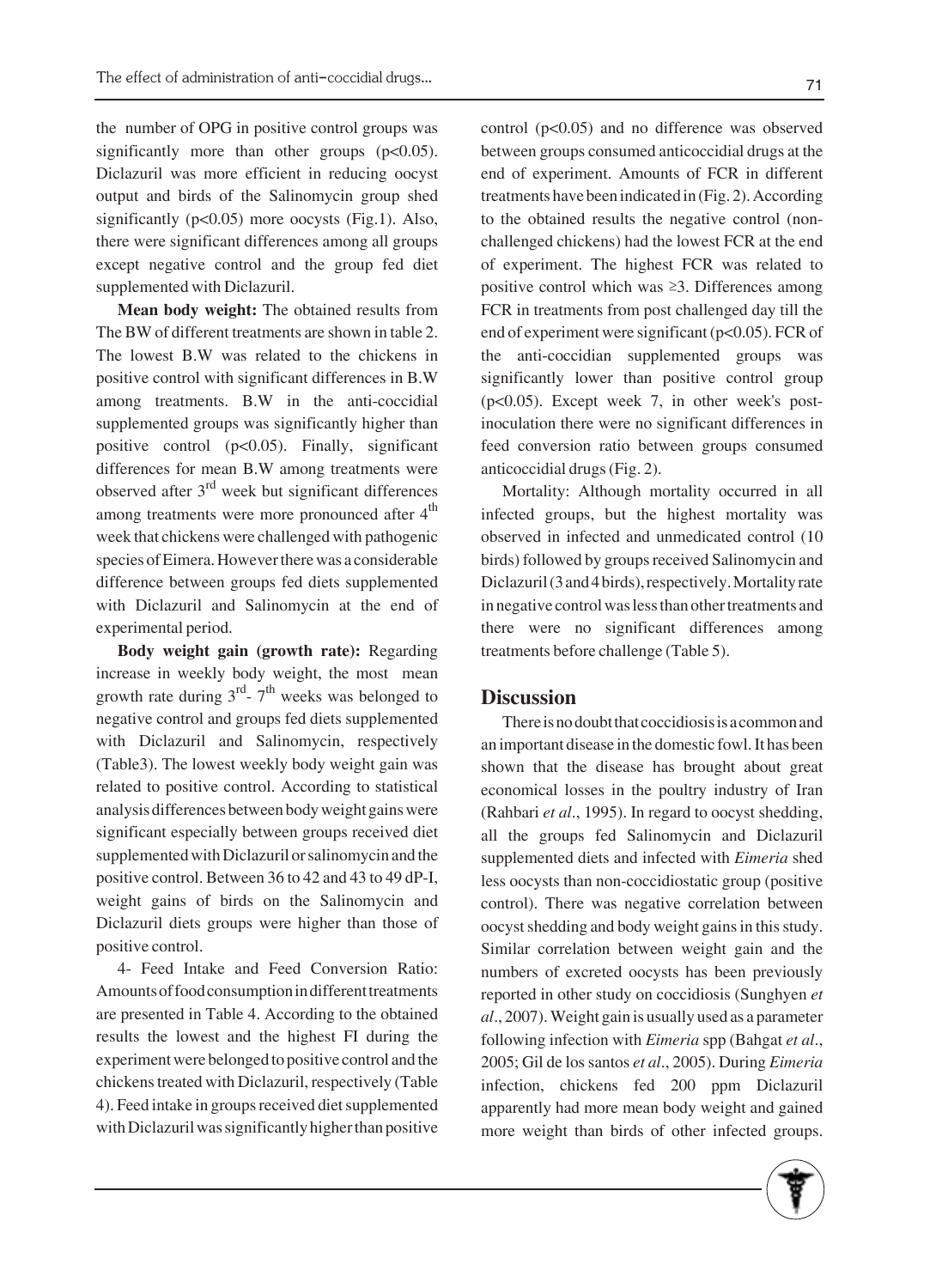the number of OPG in positive control groups was significantly more than other groups  $(p<0.05)$ . Diclazuril was more efficient in reducing oocyst output and birds of the Salinomycin group shed significantly  $(p<0.05)$  more oocysts (Fig.1). Also, there were significant differences among all groups except negative control and the group fed diet supplemented with Diclazuril.

**Mean body weight:** The obtained results from The BW of different treatments are shown in table 2. The lowest B.W was related to the chickens in positive control with significant differences in B.W among treatments. B.W in the anti-coccidial supplemented groups was significantly higher than positive control (p<0.05). Finally, significant differences for mean B.W among treatments were observed after  $3<sup>rd</sup>$  week but significant differences among treatments were more pronounced after  $4<sup>th</sup>$ week that chickens were challenged with pathogenic species of Eimera. However there was a considerable difference between groups fed diets supplemented with Diclazuril and Salinomycin at the end of experimental period.

**Body weight gain (growth rate):** Regarding increase in weekly body weight, the most mean growth rate during  $3<sup>rd</sup>$ -  $7<sup>th</sup>$  weeks was belonged to negative control and groups fed diets supplemented with Diclazuril and Salinomycin, respectively (Table3). The lowest weekly body weight gain was related to positive control. According to statistical analysis differences between body weight gains were significant especially between groups received diet supplemented with Diclazuril or salinomycin and the positive control. Between 36 to 42 and 43 to 49 dP-I, weight gains of birds on the Salinomycin and Diclazuril diets groups were higher than those of positive control.

4- Feed Intake and Feed Conversion Ratio: Amounts of food consumption in different treatments are presented in Table 4. According to the obtained results the lowest and the highest FI during the experiment were belonged to positive control and the chickens treated with Diclazuril, respectively (Table 4). Feed intake in groups received diet supplemented with Diclazuril was significantly higher than positive control (p<0.05) and no difference was observed between groups consumed anticoccidial drugs at the end of experiment. Amounts of FCR in different treatments have been indicated in (Fig. 2). According to the obtained results the negative control (nonchallenged chickens) had the lowest FCR at the end of experiment. The highest FCR was related to positive control which was  $\geq 3$ . Differences among FCR in treatments from post challenged day till the end of experiment were significant (p<0.05). FCR of the anti-coccidian supplemented groups was significantly lower than positive control group (p<0.05). Except week 7, in other week's postinoculation there were no significant differences in feed conversion ratio between groups consumed anticoccidial drugs (Fig. 2).

Mortality: Although mortality occurred in all infected groups, but the highest mortality was observed in infected and unmedicated control (10 birds) followed by groups received Salinomycin and Diclazuril (3 and 4 birds), respectively. Mortality rate in negative control was less than other treatments and there were no significant differences among treatments before challenge (Table 5).

### **Discussion**

There is no doubt that coccidiosis is a common and an important disease in the domestic fowl. It has been shown that the disease has brought about great economical losses in the poultry industry of Iran (Rahbari *et al*., 1995). In regard to oocyst shedding, all the groups fed Salinomycin and Diclazuril supplemented diets and infected with *Eimeria* shed less oocysts than non-coccidiostatic group (positive control). There was negative correlation between oocyst shedding and body weight gains in this study. Similar correlation between weight gain and the numbers of excreted oocysts has been previously reported in other study on coccidiosis (Sunghyen *et al*., 2007). Weight gain is usually used as a parameter following infection with *Eimeria* spp (Bahgat *et al*., 2005; Gil de los santos *et al*., 2005). During *Eimeria* infection, chickens fed 200 ppm Diclazuril apparently had more mean body weight and gained more weight than birds of other infected groups.

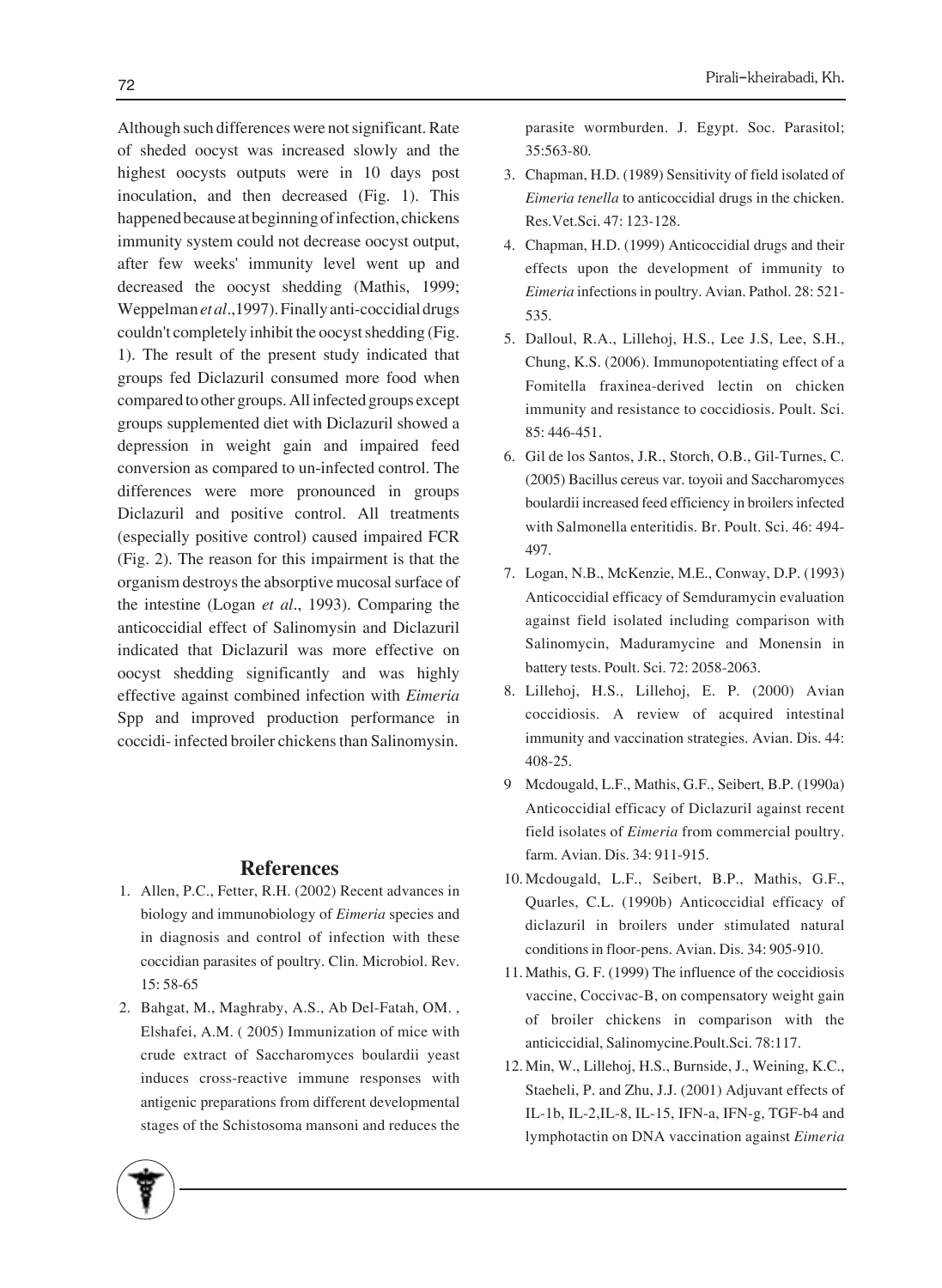Although such differences were not significant. Rate of sheded oocyst was increased slowly and the highest oocysts outputs were in 10 days post inoculation, and then decreased (Fig. 1). This happened because at beginning of infection, chickens immunity system could not decrease oocyst output, after few weeks' immunity level went up and decreased the oocyst shedding (Mathis, 1999; Weppelman *et al*.,1997). Finally anti-coccidial drugs couldn't completely inhibit the oocyst shedding (Fig. 1). The result of the present study indicated that groups fed Diclazuril consumed more food when compared to other groups. All infected groups except groups supplemented diet with Diclazuril showed a depression in weight gain and impaired feed conversion as compared to un-infected control. The differences were more pronounced in groups Diclazuril and positive control. All treatments (especially positive control) caused impaired FCR (Fig. 2). The reason for this impairment is that the organism destroys the absorptive mucosal surface of the intestine (Logan *et al*., 1993). Comparing the anticoccidial effect of Salinomysin and Diclazuril indicated that Diclazuril was more effective on oocyst shedding significantly and was highly effective against combined infection with *Eimeria* Spp and improved production performance in coccidi- infected broiler chickens than Salinomysin.

#### **References**

- Allen, P.C., Fetter, R.H. (2002) Recent advances in 1. biology and immunobiology of *Eimeria* species and in diagnosis and control of infection with these coccidian parasites of poultry. Clin. Microbiol. Rev. 15: 58-65
- 2. Bahgat, M., Maghraby, A.S., Ab Del-Fatah, OM., Elshafei, A.M. ( 2005) Immunization of mice with crude extract of Saccharomyces boulardii yeast induces cross-reactive immune responses with antigenic preparations from different developmental stages of the Schistosoma mansoni and reduces the

parasite wormburden. J. Egypt. Soc. Parasitol; 35:563-80.

- Chapman, H.D. (1989) Sensitivity of field isolated of 3. *Eimeria tenella* to anticoccidial drugs in the chicken. Res.Vet.Sci. 47: 123-128.
- Chapman, H.D. (1999) Anticoccidial drugs and their 4. effects upon the development of immunity to *Eimeria* infections in poultry. Avian. Pathol. 28: 521- 535.
- 5. Dalloul, R.A., Lillehoj, H.S., Lee J.S, Lee, S.H., Chung, K.S. (2006). Immunopotentiating effect of a Fomitella fraxinea-derived lectin on chicken immunity and resistance to coccidiosis. Poult. Sci. 85: 446-451.
- Gil de los Santos, J.R., Storch, O.B., Gil-Turnes, C. 6. (2005) Bacillus cereus var. toyoii and Saccharomyces boulardii increased feed efficiency in broilers infected with Salmonella enteritidis. Br. Poult. Sci. 46: 494- 497.
- 7. Logan, N.B., McKenzie, M.E., Conway, D.P. (1993) Anticoccidial efficacy of Semduramycin evaluation against field isolated including comparison with Salinomycin, Maduramycine and Monensin in battery tests. Poult. Sci. 72: 2058-2063.
- 8. Lillehoj, H.S., Lillehoj, E. P. (2000) Avian coccidiosis. A review of acquired intestinal immunity and vaccination strategies. Avian. Dis. 44: 408-25.
- Mcdougald, L.F., Mathis, G.F., Seibert, B.P. (1990a) 9 Anticoccidial efficacy of Diclazuril against recent field isolates of *Eimeria* from commercial poultry. farm. Avian. Dis. 34: 911-915.
- 10. Mcdougald, L.F., Seibert, B.P., Mathis, G.F., Quarles, C.L. (1990b) Anticoccidial efficacy of diclazuril in broilers under stimulated natural conditions in floor-pens. Avian. Dis. 34: 905-910.
- 11. Mathis, G. F. (1999) The influence of the coccidiosis vaccine, Coccivac-B, on compensatory weight gain of broiler chickens in comparison with the anticiccidial, Salinomycine.Poult.Sci. 78:117.
- 12. Min, W., Lillehoj, H.S., Burnside, J., Weining, K.C., Staeheli, P. and Zhu, J.J. (2001) Adjuvant effects of IL-1b, IL-2,IL-8, IL-15, IFN-a, IFN-g, TGF-b4 and lymphotactin on DNA vaccination against *Eimeria*



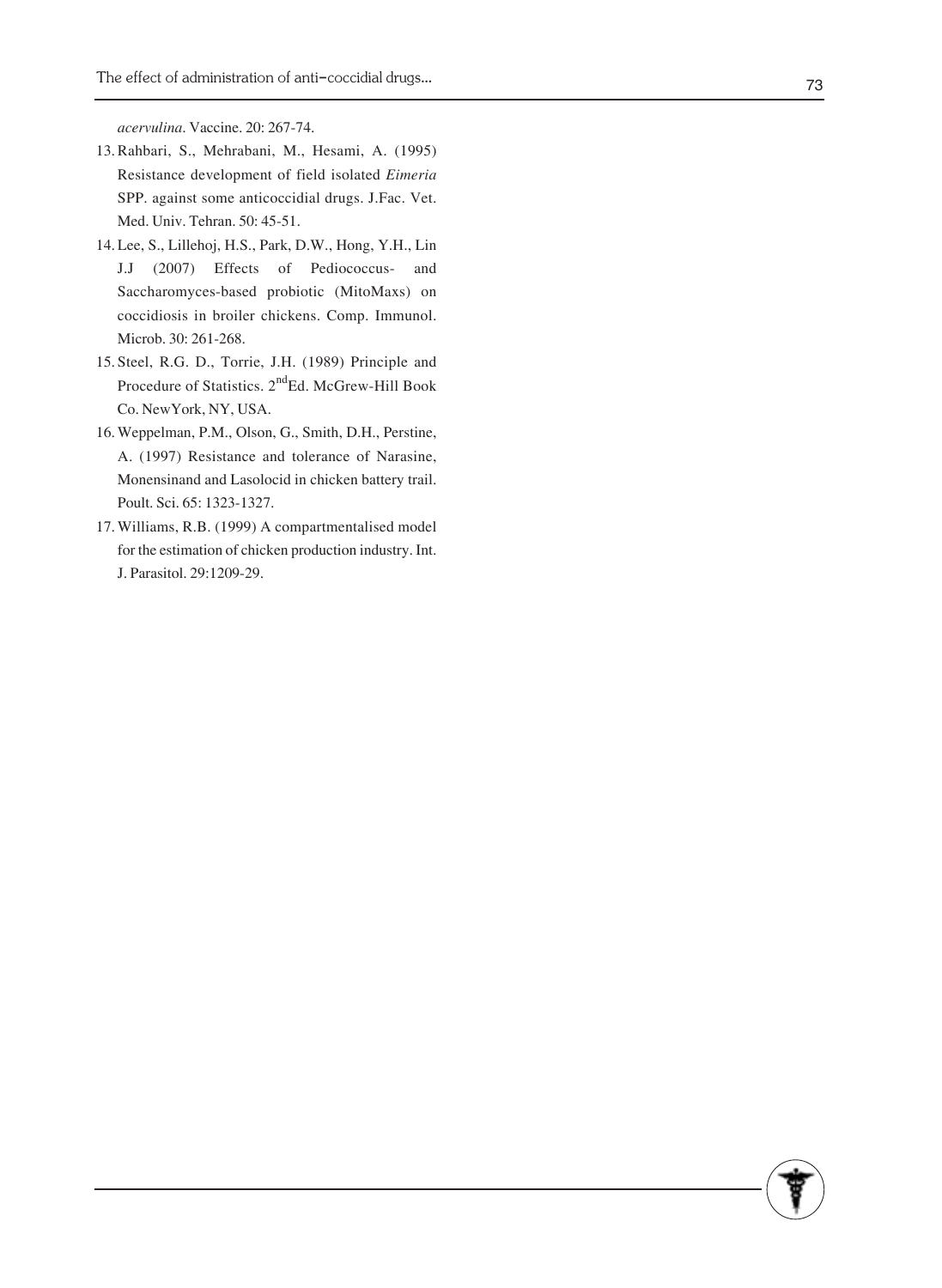*acervulina*. Vaccine. 20: 267-74.

- 13. Rahbari, S., Mehrabani, M., Hesami, A. (1995) Resistance development of field isolated *Eimeria* SPP. against some anticoccidial drugs. J.Fac. Vet. Med. Univ. Tehran. 50: 45-51.
- Lee, S., Lillehoj, H.S., Park, D.W., Hong, Y.H., Lin 14. J.J (2007) Effects of Pediococcus- and Saccharomyces-based probiotic (MitoMaxs) on coccidiosis in broiler chickens. Comp. Immunol. Microb. 30: 261-268.
- 15. Steel, R.G. D., Torrie, J.H. (1989) Principle and Procedure of Statistics. 2<sup>nd</sup>Ed. McGrew-Hill Book Co. NewYork, NY, USA.
- 16. Weppelman, P.M., Olson, G., Smith, D.H., Perstine, A. (1997) Resistance and tolerance of Narasine, Monensinand and Lasolocid in chicken battery trail. Poult. Sci. 65: 1323-1327.
- 17. Williams, R.B. (1999) A compartmentalised model for the estimation of chicken production industry. Int. J. Parasitol. 29:1209-29.